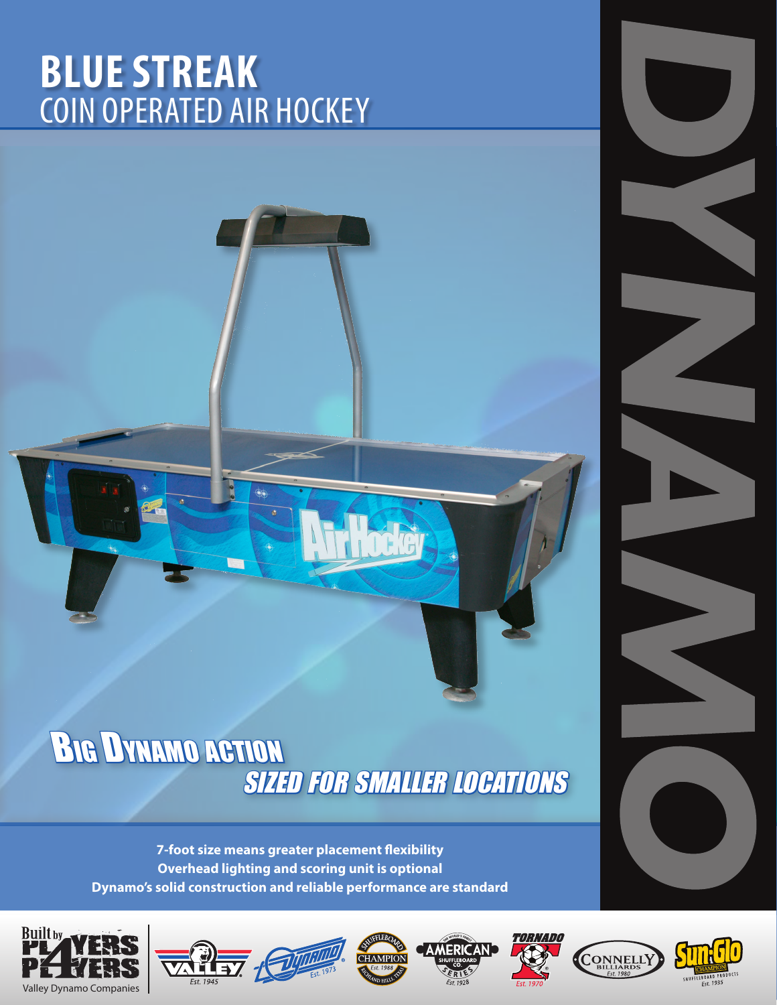# **BLUE STREAK** COIN OPERATED AIR HOCKEY

## Big Dynamo action **SIZED FOR SMALLER LOCATIONS**

**7-foot size means greater placement flexibility Overhead lighting and scoring unit is optional Dynamo's solid construction and reliable performance are standard**